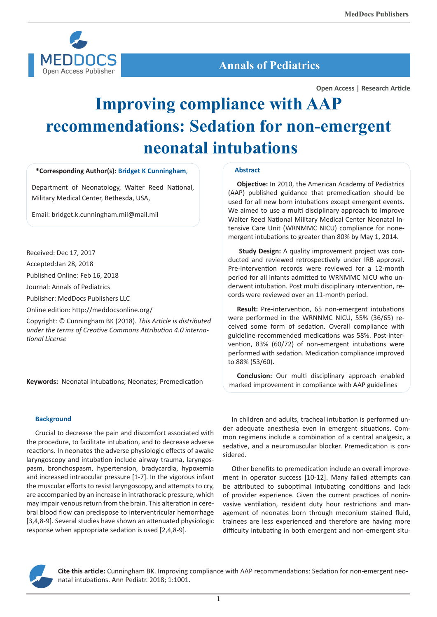

# **Annals of Pediatrics**

**Open Access | Research Article**

# **Improving compliance with AAP recommendations: Sedation for non-emergent neonatal intubations**

# **\*Corresponding Author(s): Bridget K Cunningham**,

Department of Neonatology, Walter Reed National, Military Medical Center, Bethesda, USA,

Email: bridget.k.cunningham.mil@mail.mil

Received: Dec 17, 2017

Accepted:Jan 28, 2018

Published Online: Feb 16, 2018

Journal: Annals of Pediatrics

Publisher: MedDocs Publishers LLC

Online edition: http://meddocsonline.org/

Copyright: © Cunningham BK (2018). *This Article is distributed under the terms of Creative Commons Attribution 4.0 international License*

**Keywords:** Neonatal intubations; Neonates; Premedication

# **Abstract**

**Objective:** In 2010, the American Academy of Pediatrics (AAP) published guidance that premedication should be used for all new born intubations except emergent events. We aimed to use a multi disciplinary approach to improve Walter Reed National Military Medical Center Neonatal Intensive Care Unit (WRNMMC NICU) compliance for nonemergent intubations to greater than 80% by May 1, 2014.

**Study Design:** A quality improvement project was conducted and reviewed retrospectively under IRB approval. Pre-intervention records were reviewed for a 12-month period for all infants admitted to WRNMMC NICU who underwent intubation. Post multi disciplinary intervention, records were reviewed over an 11-month period.

**Result:** Pre-intervention, 65 non-emergent intubations were performed in the WRNNMC NICU, 55% (36/65) received some form of sedation. Overall compliance with guideline-recommended medications was 58%. Post-intervention, 83% (60/72) of non-emergent intubations were performed with sedation. Medication compliance improved to 88% (53/60).

**Conclusion:** Our multi disciplinary approach enabled marked improvement in compliance with AAP guidelines

## **Background**

Crucial to decrease the pain and discomfort associated with the procedure, to facilitate intubation, and to decrease adverse reactions. In neonates the adverse physiologic effects of awake laryngoscopy and intubation include airway trauma, laryngospasm, bronchospasm, hypertension, bradycardia, hypoxemia and increased intraocular pressure [1-7]. In the vigorous infant the muscular efforts to resist laryngoscopy, and attempts to cry, are accompanied by an increase in intrathoracic pressure, which may impair venous return from the brain. This alteration in cerebral blood flow can predispose to interventricular hemorrhage [3,4,8-9]. Several studies have shown an attenuated physiologic response when appropriate sedation is used [2,4,8-9].

In children and adults, tracheal intubation is performed under adequate anesthesia even in emergent situations. Common regimens include a combination of a central analgesic, a sedative, and a neuromuscular blocker. Premedication is considered.

Other benefits to premedication include an overall improvement in operator success [10-12]. Many failed attempts can be attributed to suboptimal intubating conditions and lack of provider experience. Given the current practices of noninvasive ventilation, resident duty hour restrictions and management of neonates born through meconium stained fluid, trainees are less experienced and therefore are having more difficulty intubating in both emergent and non-emergent situ-



**Cite this article:** Cunningham BK. Improving compliance with AAP recommendations: Sedation for non-emergent neonatal intubations. Ann Pediatr. 2018; 1:1001.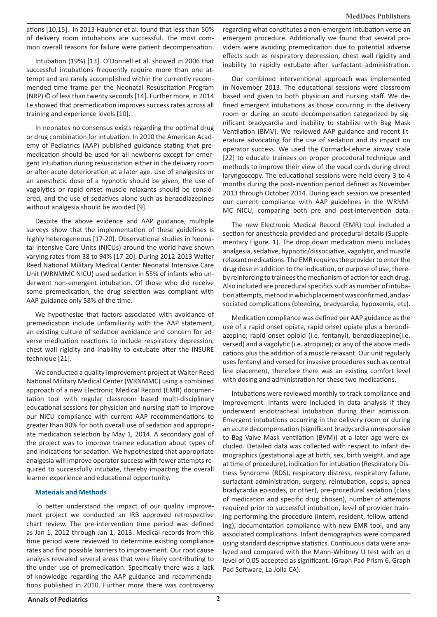ations [10,15]. In 2013 Haubner et al. found that less than 50% of delivery room intubations are successful. The most common overall reasons for failure were patient decompensation.

Intubation (19%) [13]. O'Donnell et al. showed in 2006 that successful intubations frequently require more than one attempt and are rarely accomplished within the currently recommended time frame per the Neonatal Resuscitation Program (NRP) © of less than twenty seconds [14]. Further more, in 2014 Le showed that premedication improves success rates across all training and experience levels [10].

In neonates no consensus exists regarding the optimal drug or drug combination for intubation. In 2010 the American Academy of Pediatrics (AAP) published guidance stating that premedication should be used for all newborns except for emergent intubation during resuscitation either in the delivery room or after acute deterioration at a later age. Use of analgesics or an anesthetic dose of a hypnotic should be given, the use of vagolytics or rapid onset muscle relaxants should be considered, and the use of sedatives alone such as benzodiazepines without analgesia should be avoided [9].

Despite the above evidence and AAP guidance, multiple surveys show that the implementation of these guidelines is highly heterogeneous [17-20]. Observational studies in Neonatal Intensive Care Units (NICUs) around the world have shown varying rates from 38 to 94% [17-20]. During 2012-2013 Walter Reed National Military Medical Center Neonatal Intensive Care Unit (WRNMMC NICU) used sedation in 55% of infants who underwent non-emergent intubation. Of those who did receive some premedication, the drug selection was compliant with AAP guidance only 58% of the time.

We hypothesize that factors associated with avoidance of premedication include unfamiliarity with the AAP statement, an existing culture of sedation avoidance and concern for adverse medication reactions to include respiratory depression, chest wall rigidity and inability to extubate after the INSURE technique [21].

We conducted a quality improvement project at Walter Reed National Military Medical Center (WRNMMC) using a combined approach of a new Electronic Medical Record (EMR) documentation tool with regular classroom based multi-disciplinary educational sessions for physician and nursing staff to improve our NICU compliance with current AAP recommendations to greater than 80% for both overall use of sedation and appropriate medication selection by May 1, 2014. A secondary goal of the project was to improve trainee education about types of and indications for sedation. We hypothesized that appropriate analgesia will improve operator success with fewer attempts required to successfully intubate, thereby impacting the overall learner experience and educational opportunity.

## **Materials and Methods**

To better understand the impact of our quality improvement project we conducted an IRB approved retrospective chart review. The pre-intervention time period was defined as Jan 1, 2012 through Jan 1, 2013. Medical records from this time period were reviewed to determine existing compliance rates and find possible barriers to improvement. Our root cause analysis revealed several areas that were likely contributing to the under use of premedication. Specifically there was a lack of knowledge regarding the AAP guidance and recommendations published in 2010. Further more there was controversy

regarding what constitutes a non-emergent intubation verse an emergent procedure. Additionally we found that several providers were avoiding premedication due to potential adverse effects such as respiratory depression, chest wall rigidity and inability to rapidly extubate after surfactant administration.

Our combined interventional approach was implemented in November 2013. The educational sessions were classroom based and given to both physician and nursing staff. We defined emergent intubations as those occurring in the delivery room or during an acute decompensation categorized by significant bradycardia and inability to stabilize with Bag Mask Ventilation (BMV). We reviewed AAP guidance and recent literature advocating for the use of sedation and its impact on operator success. We used the Cormack-Lehane airway scale [22] to educate trainees on proper procedural technique and methods to improve their view of the vocal cords during direct laryngoscopy. The educational sessions were held every 3 to 4 months during the post-invention period defined as November 2013 through October 2014. During each session we presented our current compliance with AAP guidelines in the WRNM-MC NICU, comparing both pre and post-intervention data.

The new Electronic Medical Record (EMR) tool included a section for anesthesia provided and procedural details (Supplementary Figure. 1). The drop down medication menu includes analgesia, sedative, hypnotic/dissociative, vagolytic, and muscle relaxant medications. The EMR requires the provider to enter the drug dose in addition to the indication, or purpose of use, thereby reinforcing to trainees the mechanism of action for each drug. Also included are procedural specifics such as number of intubation attempts, method in which placement was confirmed, and associated complications (bleeding, bradycardia, hypoxemia, etc).

Medication compliance was defined per AAP guidance as the use of a rapid onset opiate, rapid onset opiate plus a benzodiazepine; rapid onset opioid (i.e. fentanyl), benzodiazepine(i.e. versed) and a vagolytic (i.e. atropine); or any of the above medications plus the addition of a muscle relaxant. Our unit regularly uses fentanyl and versed for invasive procedures such as central line placement, therefore there was an existing comfort level with dosing and administration for these two medications.

Intubations were reviewed monthly to track compliance and improvement. Infants were included in data analysis if they underwent endotracheal intubation during their admission. Emergent intubations occurring in the delivery room or during an acute decompensation (significant bradycardia unresponsive to Bag Valve Mask ventilation (BVM)) at a later age were excluded. Detailed data was collected with respect to infant demographics (gestational age at birth, sex, birth weight, and age at time of procedure), indication for intubation (Respiratory Distress Syndrome (RDS), respiratory distress, respiratory failure, surfactant administration, surgery, reintubation, sepsis, apnea bradycardia episodes, or other), pre-procedural sedation (class of medication and specific drug chosen), number of attempts required prior to successful intubation, level of provider training performing the procedure (intern, resident, fellow, attending), documentation compliance with new EMR tool, and any associated complications. Infant demographics were compared using standard descriptive statistics. Continuous data were analyzed and compared with the Mann-Whitney U test with an α level of 0.05 accepted as significant. (Graph Pad Prism 6, Graph Pad Software, La Jolla CA).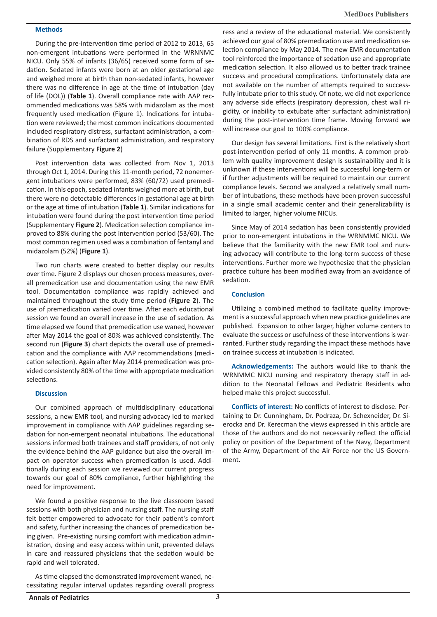# **Methods**

During the pre-intervention time period of 2012 to 2013, 65 non-emergent intubations were performed in the WRNNMC NICU. Only 55% of infants (36/65) received some form of sedation. Sedated infants were born at an older gestational age and weighed more at birth than non-sedated infants, however there was no difference in age at the time of intubation (day of life (DOL)) (**Table 1**). Overall compliance rate with AAP recommended medications was 58% with midazolam as the most frequently used medication (Figure 1). Indications for intubation were reviewed; the most common indications documented included respiratory distress, surfactant administration, a combination of RDS and surfactant administration, and respiratory failure (Supplementary **Figure 2**)

Post intervention data was collected from Nov 1, 2013 through Oct 1, 2014. During this 11-month period, 72 nonemergent intubations were performed, 83% (60/72) used premedication. In this epoch, sedated infants weighed more at birth, but there were no detectable differences in gestational age at birth or the age at time of intubation (**Table 1**). Similar indications for intubation were found during the post intervention time period (Supplementary **Figure 2**). Medication selection compliance improved to 88% during the post intervention period (53/60). The most common regimen used was a combination of fentanyl and midazolam (52%) (**Figure 1**).

Two run charts were created to better display our results over time. Figure 2 displays our chosen process measures, overall premedication use and documentation using the new EMR tool. Documentation compliance was rapidly achieved and maintained throughout the study time period (**Figure 2**). The use of premedication varied over time. After each educational session we found an overall increase in the use of sedation. As time elapsed we found that premedication use waned, however after May 2014 the goal of 80% was achieved consistently. The second run (**Figure 3**) chart depicts the overall use of premedication and the compliance with AAP recommendations (medication selection). Again after May 2014 premedication was provided consistently 80% of the time with appropriate medication selections.

#### **Discussion**

Our combined approach of multidisciplinary educational sessions, a new EMR tool, and nursing advocacy led to marked improvement in compliance with AAP guidelines regarding sedation for non-emergent neonatal intubations. The educational sessions informed both trainees and staff providers, of not only the evidence behind the AAP guidance but also the overall impact on operator success when premedication is used. Additionally during each session we reviewed our current progress towards our goal of 80% compliance, further highlighting the need for improvement.

We found a positive response to the live classroom based sessions with both physician and nursing staff. The nursing staff felt better empowered to advocate for their patient's comfort and safety, further increasing the chances of premedication being given. Pre-existing nursing comfort with medication administration, dosing and easy access within unit, prevented delays in care and reassured physicians that the sedation would be rapid and well tolerated.

As time elapsed the demonstrated improvement waned, necessitating regular interval updates regarding overall progress ress and a review of the educational material. We consistently achieved our goal of 80% premedication use and medication selection compliance by May 2014. The new EMR documentation tool reinforced the importance of sedation use and appropriate medication selection. It also allowed us to better track trainee success and procedural complications. Unfortunately data are not available on the number of attempts required to successfully intubate prior to this study. Of note, we did not experience any adverse side effects (respiratory depression, chest wall rigidity, or inability to extubate after surfactant administration) during the post-intervention time frame. Moving forward we will increase our goal to 100% compliance.

Our design has several limitations. First is the relatively short post-intervention period of only 11 months. A common problem with quality improvement design is sustainability and it is unknown if these interventions will be successful long-term or if further adjustments will be required to maintain our current compliance levels. Second we analyzed a relatively small number of intubations, these methods have been proven successful in a single small academic center and their generalizability is limited to larger, higher volume NICUs.

Since May of 2014 sedation has been consistently provided prior to non-emergent intubations in the WRNMMC NICU. We believe that the familiarity with the new EMR tool and nursing advocacy will contribute to the long-term success of these interventions. Further more we hypothesize that the physician practice culture has been modified away from an avoidance of sedation.

#### **Conclusion**

Utilizing a combined method to facilitate quality improvement is a successful approach when new practice guidelines are published. Expansion to other larger, higher volume centers to evaluate the success or usefulness of these interventions is warranted. Further study regarding the impact these methods have on trainee success at intubation is indicated.

**Acknowledgements:** The authors would like to thank the WRNMMC NICU nursing and respiratory therapy staff in addition to the Neonatal Fellows and Pediatric Residents who helped make this project successful.

**Conflicts of interest:** No conflicts of interest to disclose. Pertaining to Dr. Cunningham, Dr. Podraza, Dr. Schexneider, Dr. Sierocka and Dr. Kerecman the views expressed in this article are those of the authors and do not necessarily reflect the official policy or position of the Department of the Navy, Department of the Army, Department of the Air Force nor the US Government.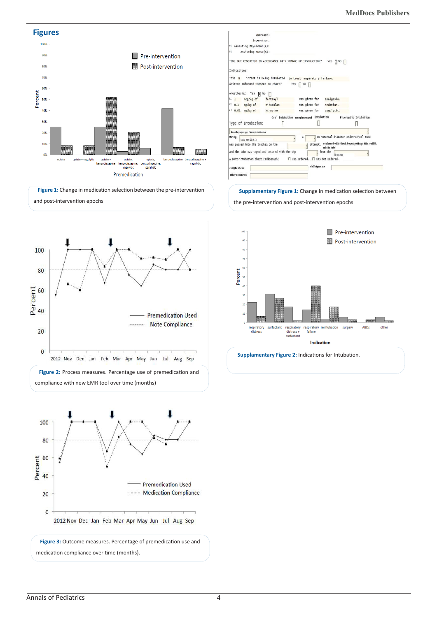

| Operator:                                                                                                                                         |           |                                                         |                                                                              |  |
|---------------------------------------------------------------------------------------------------------------------------------------------------|-----------|---------------------------------------------------------|------------------------------------------------------------------------------|--|
| Supervisor:                                                                                                                                       |           |                                                         |                                                                              |  |
| #1 Assisting Physician(s):                                                                                                                        |           |                                                         |                                                                              |  |
| N1<br>Assisting Nurse(s):                                                                                                                         |           |                                                         |                                                                              |  |
| TIME OUT CONDUCTED IN ACCORDANCE WITH WRNNAC UP INSTRUCTION?                                                                                      |           |                                                         | $\n  R$ NO $\n  or$<br>YES                                                   |  |
| Indications:                                                                                                                                      |           |                                                         |                                                                              |  |
| This M                                                                                                                                            |           | infant is being intubated to treat respiratory failure. |                                                                              |  |
| written Informed Consent on chart?                                                                                                                | Yes       | NO I                                                    |                                                                              |  |
| Anesthesia: Yes<br>$\n  6\n  6\n  7\n  8\n  8\n  8\n  8\n  8\n  8\n  8\n  8\n  8\n  8\n  8\n  8\n  8\n  8\n  8\n  8\n  8\n  8\n  8\n  8\n  8\n  $ | П         |                                                         |                                                                              |  |
| mcg/kg of<br>71<br>$\mathbf{1}$                                                                                                                   | fentanyl  | was given for                                           | analgesia.                                                                   |  |
| $0.1$ mg/kg of<br>92                                                                                                                              | midazolam | was given for                                           | sedation.                                                                    |  |
| #3 0.01 mg/kg of                                                                                                                                  | Atropine  | was given for                                           | vagolytic.                                                                   |  |
|                                                                                                                                                   |           |                                                         |                                                                              |  |
|                                                                                                                                                   |           | Oral Intubation masepharyngeal Intubation               | Fiberoptic Intubation                                                        |  |
| Type of Intubation:                                                                                                                               |           |                                                         | П                                                                            |  |
| direct larvagescopy, fiberoptic intubation                                                                                                        |           |                                                         |                                                                              |  |
| Using<br>blade size (00.0.1)                                                                                                                      |           |                                                         | mm internal diameter endotracheal tube                                       |  |
| was passed into the trachea on the                                                                                                                |           |                                                         | attempt. confirmed with (check boxes) pedicap, bilateral BS,<br>mist in tube |  |
| and the tube was taped and secured with the tip                                                                                                   |           | from the                                                |                                                                              |  |
| A post-intubation chest radiograph:                                                                                                               |           | □ Was Ordered. □ Was Not Ordered.                       |                                                                              |  |
| complications                                                                                                                                     |           | staff signature                                         |                                                                              |  |
|                                                                                                                                                   |           |                                                         |                                                                              |  |
| other comments                                                                                                                                    |           |                                                         |                                                                              |  |

#### **Supplamentary Figure 1:** Change in medication selection between

the pre-intervention and post-intervention epochs







**Figure 2:** Process measures. Percentage use of premedication and

2012 Nov Dec Jan Feb Mar Apr May Jun Jul Aug Sep

compliance with new EMR tool over time (months)

**Figure 3:** Outcome measures. Percentage of premedication use and medication compliance over time (months).